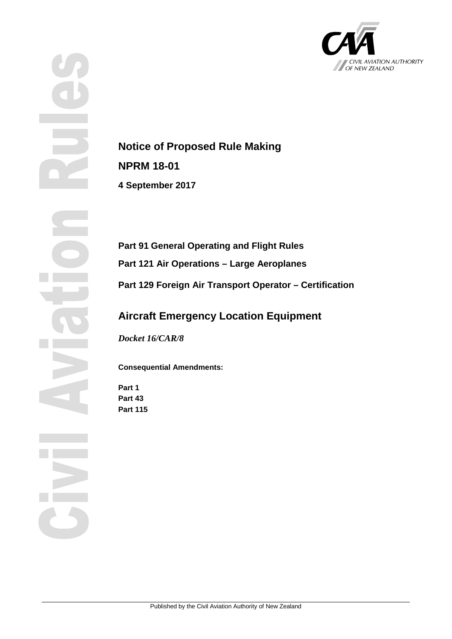

**Notice of Proposed Rule Making NPRM 18-01 4 September 2017**

**Part 91 General Operating and Flight Rules Part 121 Air Operations – Large Aeroplanes Part 129 Foreign Air Transport Operator – Certification**

## **Aircraft Emergency Location Equipment**

*Docket 16/CAR/8*

**Consequential Amendments:**

**Part 1 Part 43 Part 115**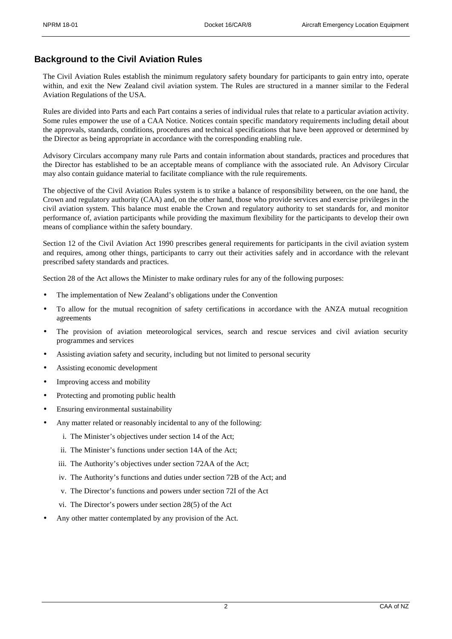## **Background to the Civil Aviation Rules**

The Civil Aviation Rules establish the minimum regulatory safety boundary for participants to gain entry into, operate within, and exit the New Zealand civil aviation system. The Rules are structured in a manner similar to the Federal Aviation Regulations of the USA.

Rules are divided into Parts and each Part contains a series of individual rules that relate to a particular aviation activity. Some rules empower the use of a CAA Notice. Notices contain specific mandatory requirements including detail about the approvals, standards, conditions, procedures and technical specifications that have been approved or determined by the Director as being appropriate in accordance with the corresponding enabling rule.

Advisory Circulars accompany many rule Parts and contain information about standards, practices and procedures that the Director has established to be an acceptable means of compliance with the associated rule. An Advisory Circular may also contain guidance material to facilitate compliance with the rule requirements.

The objective of the Civil Aviation Rules system is to strike a balance of responsibility between, on the one hand, the Crown and regulatory authority (CAA) and, on the other hand, those who provide services and exercise privileges in the civil aviation system. This balance must enable the Crown and regulatory authority to set standards for, and monitor performance of, aviation participants while providing the maximum flexibility for the participants to develop their own means of compliance within the safety boundary.

Section 12 of the Civil Aviation Act 1990 prescribes general requirements for participants in the civil aviation system and requires, among other things, participants to carry out their activities safely and in accordance with the relevant prescribed safety standards and practices.

Section 28 of the Act allows the Minister to make ordinary rules for any of the following purposes:

- The implementation of New Zealand's obligations under the Convention
- To allow for the mutual recognition of safety certifications in accordance with the ANZA mutual recognition agreements
- The provision of aviation meteorological services, search and rescue services and civil aviation security programmes and services
- Assisting aviation safety and security, including but not limited to personal security
- Assisting economic development
- Improving access and mobility
- Protecting and promoting public health
- Ensuring environmental sustainability
- Any matter related or reasonably incidental to any of the following:
	- i. The Minister's objectives under section 14 of the Act;
	- ii. The Minister's functions under section 14A of the Act;
	- iii. The Authority's objectives under section 72AA of the Act;
	- iv. The Authority's functions and duties under section 72B of the Act; and
	- v. The Director's functions and powers under section 72I of the Act
	- vi. The Director's powers under section 28(5) of the Act
- Any other matter contemplated by any provision of the Act.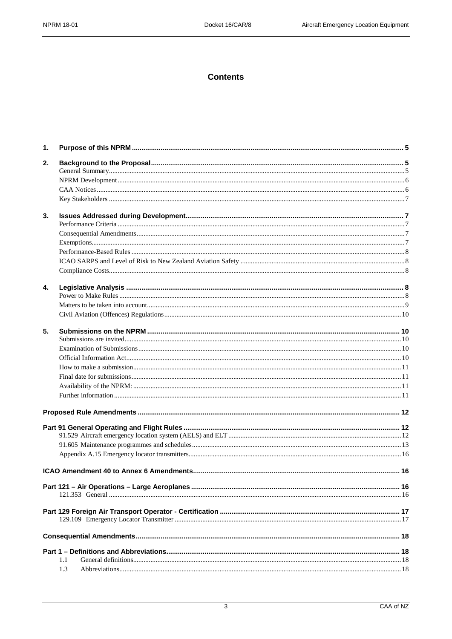## **Contents**

| 1. |     |  |
|----|-----|--|
| 2. |     |  |
|    |     |  |
|    |     |  |
|    |     |  |
|    |     |  |
| 3. |     |  |
|    |     |  |
|    |     |  |
|    |     |  |
|    |     |  |
|    |     |  |
|    |     |  |
| 4. |     |  |
|    |     |  |
|    |     |  |
|    |     |  |
| 5. |     |  |
|    |     |  |
|    |     |  |
|    |     |  |
|    |     |  |
|    |     |  |
|    |     |  |
|    |     |  |
|    |     |  |
|    |     |  |
|    |     |  |
|    |     |  |
|    |     |  |
|    |     |  |
|    |     |  |
|    |     |  |
|    |     |  |
|    |     |  |
|    |     |  |
|    |     |  |
|    | 1.1 |  |
|    | 1.3 |  |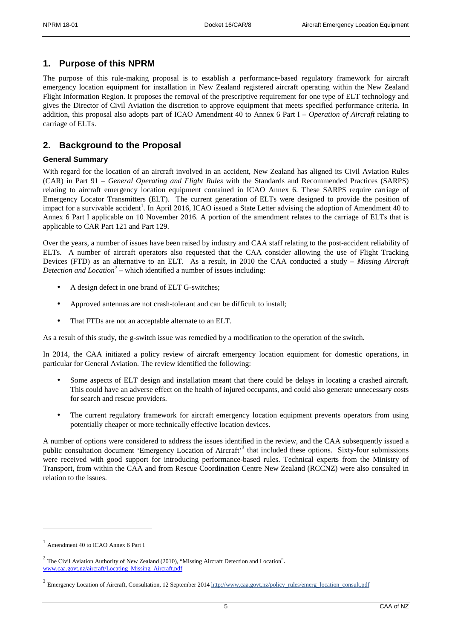## **1. Purpose of this NPRM**

The purpose of this rule-making proposal is to establish a performance-based regulatory framework for aircraft emergency location equipment for installation in New Zealand registered aircraft operating within the New Zealand Flight Information Region. It proposes the removal of the prescriptive requirement for one type of ELT technology and gives the Director of Civil Aviation the discretion to approve equipment that meets specified performance criteria. In addition, this proposal also adopts part of ICAO Amendment 40 to Annex 6 Part I – *Operation of Aircraft* relating to carriage of ELTs.

## **2. Background to the Proposal**

## **General Summary**

With regard for the location of an aircraft involved in an accident, New Zealand has aligned its Civil Aviation Rules (CAR) in Part 91 – *General Operating and Flight Rules* with the Standards and Recommended Practices (SARPS) relating to aircraft emergency location equipment contained in ICAO Annex 6. These SARPS require carriage of Emergency Locator Transmitters (ELT). The current generation of ELTs were designed to provide the position of impact for a survivable accident<sup>1</sup>. In April 2016, ICAO issued a State Letter advising the adoption of Amendment 40 to Annex 6 Part I applicable on 10 November 2016. A portion of the amendment relates to the carriage of ELTs that is applicable to CAR Part 121 and Part 129.

Over the years, a number of issues have been raised by industry and CAA staff relating to the post-accident reliability of ELTs. A number of aircraft operators also requested that the CAA consider allowing the use of Flight Tracking Devices (FTD) as an alternative to an ELT. As a result, in 2010 the CAA conducted a study – *Missing Aircraft Detection and Location*<sup>2</sup> – which identified a number of issues including:

- A design defect in one brand of ELT G-switches;
- Approved antennas are not crash-tolerant and can be difficult to install;
- ÷ That FTDs are not an acceptable alternate to an ELT.

As a result of this study, the g-switch issue was remedied by a modification to the operation of the switch.

In 2014, the CAA initiated a policy review of aircraft emergency location equipment for domestic operations, in particular for General Aviation. The review identified the following:

- Some aspects of ELT design and installation meant that there could be delays in locating a crashed aircraft. This could have an adverse effect on the health of injured occupants, and could also generate unnecessary costs for search and rescue providers.
- The current regulatory framework for aircraft emergency location equipment prevents operators from using potentially cheaper or more technically effective location devices.

A number of options were considered to address the issues identified in the review, and the CAA subsequently issued a public consultation document 'Emergency Location of Aircraft'<sup>3</sup> that included these options. Sixty-four submissions were received with good support for introducing performance-based rules. Technical experts from the Ministry of Transport, from within the CAA and from Rescue Coordination Centre New Zealand (RCCNZ) were also consulted in relation to the issues.

-

<sup>1</sup> Amendment 40 to ICAO Annex 6 Part I

<sup>2</sup> The Civil Aviation Authority of New Zealand (2010), "Missing Aircraft Detection and Location". [www.caa.govt.nz/aircraft/Locating\\_Missing\\_Aircraft.pdf](http://www.caa.govt.nz/aircraft/Locating_Missing_Aircraft.pdf)

<sup>&</sup>lt;sup>3</sup> Emergency Location of Aircraft, Consultation, 12 September 201[4 http://www.caa.govt.nz/policy\\_rules/emerg\\_location\\_consult.pdf](http://www.caa.govt.nz/policy_rules/emerg_location_consult.pdf)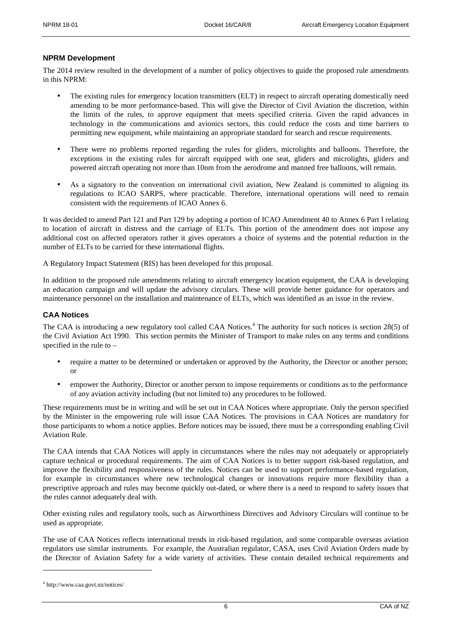#### **NPRM Development**

The 2014 review resulted in the development of a number of policy objectives to guide the proposed rule amendments in this NPRM:

- The existing rules for emergency location transmitters (ELT) in respect to aircraft operating domestically need amending to be more performance-based. This will give the Director of Civil Aviation the discretion, within the limits of the rules, to approve equipment that meets specified criteria. Given the rapid advances in technology in the communications and avionics sectors, this could reduce the costs and time barriers to permitting new equipment, while maintaining an appropriate standard for search and rescue requirements.
- There were no problems reported regarding the rules for gliders, microlights and balloons. Therefore, the exceptions in the existing rules for aircraft equipped with one seat, gliders and microlights, gliders and powered aircraft operating not more than 10nm from the aerodrome and manned free balloons, will remain.
- As a signatory to the convention on international civil aviation, New Zealand is committed to aligning its regulations to ICAO SARPS, where practicable. Therefore, international operations will need to remain consistent with the requirements of ICAO Annex 6.

It was decided to amend Part 121 and Part 129 by adopting a portion of ICAO Amendment 40 to Annex 6 Part I relating to location of aircraft in distress and the carriage of ELTs. This portion of the amendment does not impose any additional cost on affected operators rather it gives operators a choice of systems and the potential reduction in the number of ELTs to be carried for these international flights.

A Regulatory Impact Statement (RIS) has been developed for this proposal.

In addition to the proposed rule amendments relating to aircraft emergency location equipment, the CAA is developing an education campaign and will update the advisory circulars. These will provide better guidance for operators and maintenance personnel on the installation and maintenance of ELTs, which was identified as an issue in the review.

### **CAA Notices**

The CAA is introducing a new regulatory tool called CAA Notices.<sup>4</sup> The authority for such notices is section 28(5) of the Civil Aviation Act 1990. This section permits the Minister of Transport to make rules on any terms and conditions specified in the rule to –

- require a matter to be determined or undertaken or approved by the Authority, the Director or another person; or
- empower the Authority, Director or another person to impose requirements or conditions as to the performance of any aviation activity including (but not limited to) any procedures to be followed.

These requirements must be in writing and will be set out in CAA Notices where appropriate. Only the person specified by the Minister in the empowering rule will issue CAA Notices. The provisions in CAA Notices are mandatory for those participants to whom a notice applies. Before notices may be issued, there must be a corresponding enabling Civil Aviation Rule.

The CAA intends that CAA Notices will apply in circumstances where the rules may not adequately or appropriately capture technical or procedural requirements. The aim of CAA Notices is to better support risk-based regulation, and improve the flexibility and responsiveness of the rules. Notices can be used to support performance-based regulation, for example in circumstances where new technological changes or innovations require more flexibility than a prescriptive approach and rules may become quickly out-dated, or where there is a need to respond to safety issues that the rules cannot adequately deal with.

Other existing rules and regulatory tools, such as Airworthiness Directives and Advisory Circulars will continue to be used as appropriate.

The use of CAA Notices reflects international trends in risk-based regulation, and some comparable overseas aviation regulators use similar instruments. For example, the Australian regulator, CASA, uses Civil Aviation Orders made by the Director of Aviation Safety for a wide variety of activities. These contain detailed technical requirements and

-

<sup>4</sup> http://www.caa.govt.nz/notices/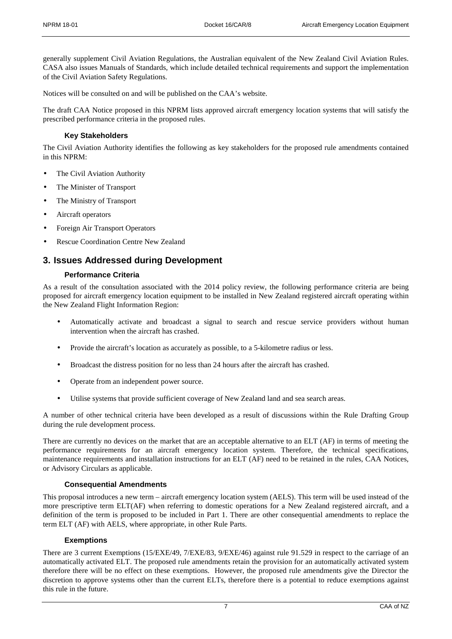generally supplement Civil Aviation Regulations, the Australian equivalent of the New Zealand Civil Aviation Rules. CASA also issues Manuals of Standards, which include detailed technical requirements and support the implementation of the Civil Aviation Safety Regulations.

Notices will be consulted on and will be published on the CAA's website.

The draft CAA Notice proposed in this NPRM lists approved aircraft emergency location systems that will satisfy the prescribed performance criteria in the proposed rules.

## **Key Stakeholders**

The Civil Aviation Authority identifies the following as key stakeholders for the proposed rule amendments contained in this NPRM:

- The Civil Aviation Authority
- The Minister of Transport
- The Ministry of Transport
- Aircraft operators
- Foreign Air Transport Operators
- Rescue Coordination Centre New Zealand

## **3. Issues Addressed during Development**

### **Performance Criteria**

As a result of the consultation associated with the 2014 policy review, the following performance criteria are being proposed for aircraft emergency location equipment to be installed in New Zealand registered aircraft operating within the New Zealand Flight Information Region:

- Automatically activate and broadcast a signal to search and rescue service providers without human intervention when the aircraft has crashed.
- Provide the aircraft's location as accurately as possible, to a 5-kilometre radius or less.
- Broadcast the distress position for no less than 24 hours after the aircraft has crashed.
- Operate from an independent power source.
- Utilise systems that provide sufficient coverage of New Zealand land and sea search areas.

A number of other technical criteria have been developed as a result of discussions within the Rule Drafting Group during the rule development process.

There are currently no devices on the market that are an acceptable alternative to an ELT (AF) in terms of meeting the performance requirements for an aircraft emergency location system. Therefore, the technical specifications, maintenance requirements and installation instructions for an ELT (AF) need to be retained in the rules, CAA Notices, or Advisory Circulars as applicable.

## **Consequential Amendments**

This proposal introduces a new term – aircraft emergency location system (AELS). This term will be used instead of the more prescriptive term ELT(AF) when referring to domestic operations for a New Zealand registered aircraft, and a definition of the term is proposed to be included in Part 1. There are other consequential amendments to replace the term ELT (AF) with AELS, where appropriate, in other Rule Parts.

## **Exemptions**

There are 3 current Exemptions (15/EXE/49, 7/EXE/83, 9/EXE/46) against rule 91.529 in respect to the carriage of an automatically activated ELT. The proposed rule amendments retain the provision for an automatically activated system therefore there will be no effect on these exemptions. However, the proposed rule amendments give the Director the discretion to approve systems other than the current ELTs, therefore there is a potential to reduce exemptions against this rule in the future.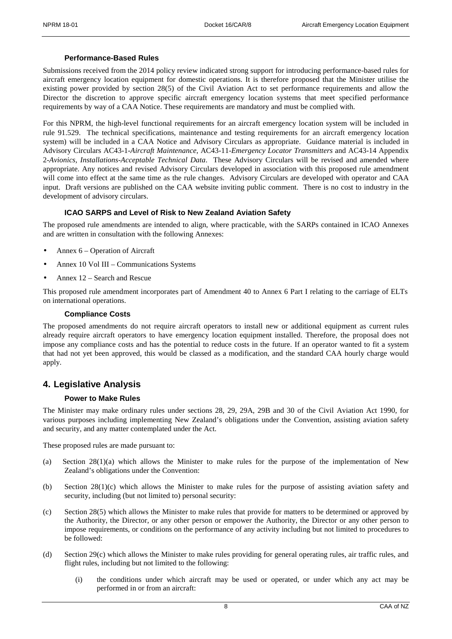#### **Performance-Based Rules**

Submissions received from the 2014 policy review indicated strong support for introducing performance-based rules for aircraft emergency location equipment for domestic operations. It is therefore proposed that the Minister utilise the existing power provided by section 28(5) of the Civil Aviation Act to set performance requirements and allow the Director the discretion to approve specific aircraft emergency location systems that meet specified performance requirements by way of a CAA Notice. These requirements are mandatory and must be complied with.

For this NPRM, the high-level functional requirements for an aircraft emergency location system will be included in rule 91.529. The technical specifications, maintenance and testing requirements for an aircraft emergency location system) will be included in a CAA Notice and Advisory Circulars as appropriate. Guidance material is included in Advisory Circulars AC43-1-*Aircraft Maintenance*, AC43-11-*Emergency Locator Transmitters* and AC43-14 Appendix 2-*Avionics, Installations-Acceptable Technical Data*. These Advisory Circulars will be revised and amended where appropriate. Any notices and revised Advisory Circulars developed in association with this proposed rule amendment will come into effect at the same time as the rule changes. Advisory Circulars are developed with operator and CAA input. Draft versions are published on the CAA website inviting public comment. There is no cost to industry in the development of advisory circulars.

### **ICAO SARPS and Level of Risk to New Zealand Aviation Safety**

The proposed rule amendments are intended to align, where practicable, with the SARPs contained in ICAO Annexes and are written in consultation with the following Annexes:

- Annex 6 Operation of Aircraft
- Annex 10 Vol III Communications Systems
- Annex 12 Search and Rescue

This proposed rule amendment incorporates part of Amendment 40 to Annex 6 Part I relating to the carriage of ELTs on international operations.

#### **Compliance Costs**

The proposed amendments do not require aircraft operators to install new or additional equipment as current rules already require aircraft operators to have emergency location equipment installed. Therefore, the proposal does not impose any compliance costs and has the potential to reduce costs in the future. If an operator wanted to fit a system that had not yet been approved, this would be classed as a modification, and the standard CAA hourly charge would apply.

## **4. Legislative Analysis**

#### **Power to Make Rules**

The Minister may make ordinary rules under sections 28, 29, 29A, 29B and 30 of the Civil Aviation Act 1990, for various purposes including implementing New Zealand's obligations under the Convention, assisting aviation safety and security, and any matter contemplated under the Act.

These proposed rules are made pursuant to:

- (a) Section  $28(1)(a)$  which allows the Minister to make rules for the purpose of the implementation of New Zealand's obligations under the Convention:
- (b) Section 28(1)(c) which allows the Minister to make rules for the purpose of assisting aviation safety and security, including (but not limited to) personal security:
- (c) Section 28(5) which allows the Minister to make rules that provide for matters to be determined or approved by the Authority, the Director, or any other person or empower the Authority, the Director or any other person to impose requirements, or conditions on the performance of any activity including but not limited to procedures to be followed:
- (d) Section 29(c) which allows the Minister to make rules providing for general operating rules, air traffic rules, and flight rules, including but not limited to the following:
	- (i) the conditions under which aircraft may be used or operated, or under which any act may be performed in or from an aircraft: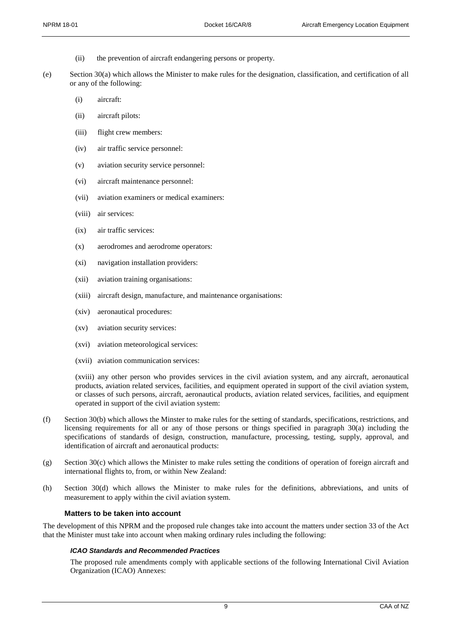- (ii) the prevention of aircraft endangering persons or property.
- (e) Section 30(a) which allows the Minister to make rules for the designation, classification, and certification of all or any of the following:
	- (i) aircraft:
	- (ii) aircraft pilots:
	- (iii) flight crew members:
	- (iv) air traffic service personnel:
	- (v) aviation security service personnel:
	- (vi) aircraft maintenance personnel:
	- (vii) aviation examiners or medical examiners:
	- (viii) air services:
	- (ix) air traffic services:
	- (x) aerodromes and aerodrome operators:
	- (xi) navigation installation providers:
	- (xii) aviation training organisations:
	- (xiii) aircraft design, manufacture, and maintenance organisations:
	- (xiv) aeronautical procedures:
	- (xv) aviation security services:
	- (xvi) aviation meteorological services:
	- (xvii) aviation communication services:

(xviii) any other person who provides services in the civil aviation system, and any aircraft, aeronautical products, aviation related services, facilities, and equipment operated in support of the civil aviation system, or classes of such persons, aircraft, aeronautical products, aviation related services, facilities, and equipment operated in support of the civil aviation system:

- (f) Section 30(b) which allows the Minster to make rules for the setting of standards, specifications, restrictions, and licensing requirements for all or any of those persons or things specified in paragraph 30(a) including the specifications of standards of design, construction, manufacture, processing, testing, supply, approval, and identification of aircraft and aeronautical products:
- $(g)$  Section 30(c) which allows the Minister to make rules setting the conditions of operation of foreign aircraft and international flights to, from, or within New Zealand:
- (h) Section 30(d) which allows the Minister to make rules for the definitions, abbreviations, and units of measurement to apply within the civil aviation system.

#### **Matters to be taken into account**

The development of this NPRM and the proposed rule changes take into account the matters under section 33 of the Act that the Minister must take into account when making ordinary rules including the following:

#### *ICAO Standards and Recommended Practices*

The proposed rule amendments comply with applicable sections of the following International Civil Aviation Organization (ICAO) Annexes: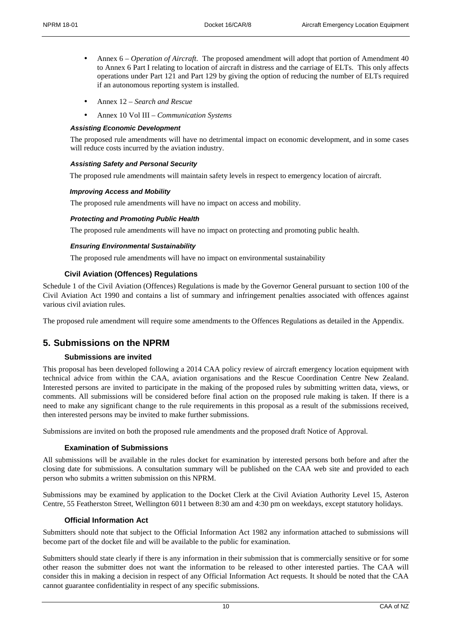- Annex 6 *Operation of Aircraft*. The proposed amendment will adopt that portion of Amendment 40 to Annex 6 Part I relating to location of aircraft in distress and the carriage of ELTs. This only affects operations under Part 121 and Part 129 by giving the option of reducing the number of ELTs required if an autonomous reporting system is installed.
- Annex 12 *Search and Rescue*
- Annex 10 Vol III *Communication Systems*

#### *Assisting Economic Development*

The proposed rule amendments will have no detrimental impact on economic development, and in some cases will reduce costs incurred by the aviation industry.

#### *Assisting Safety and Personal Security*

The proposed rule amendments will maintain safety levels in respect to emergency location of aircraft.

#### *Improving Access and Mobility*

The proposed rule amendments will have no impact on access and mobility.

#### *Protecting and Promoting Public Health*

The proposed rule amendments will have no impact on protecting and promoting public health.

#### *Ensuring Environmental Sustainability*

The proposed rule amendments will have no impact on environmental sustainability

### **Civil Aviation (Offences) Regulations**

Schedule 1 of the Civil Aviation (Offences) Regulations is made by the Governor General pursuant to section 100 of the Civil Aviation Act 1990 and contains a list of summary and infringement penalties associated with offences against various civil aviation rules.

The proposed rule amendment will require some amendments to the Offences Regulations as detailed in the Appendix.

## **5. Submissions on the NPRM**

#### **Submissions are invited**

This proposal has been developed following a 2014 CAA policy review of aircraft emergency location equipment with technical advice from within the CAA, aviation organisations and the Rescue Coordination Centre New Zealand. Interested persons are invited to participate in the making of the proposed rules by submitting written data, views, or comments. All submissions will be considered before final action on the proposed rule making is taken. If there is a need to make any significant change to the rule requirements in this proposal as a result of the submissions received, then interested persons may be invited to make further submissions.

Submissions are invited on both the proposed rule amendments and the proposed draft Notice of Approval.

#### **Examination of Submissions**

All submissions will be available in the rules docket for examination by interested persons both before and after the closing date for submissions. A consultation summary will be published on the CAA web site and provided to each person who submits a written submission on this NPRM.

Submissions may be examined by application to the Docket Clerk at the Civil Aviation Authority Level 15, Asteron Centre, 55 Featherston Street, Wellington 6011 between 8:30 am and 4:30 pm on weekdays, except statutory holidays.

#### **Official Information Act**

Submitters should note that subject to the Official Information Act 1982 any information attached to submissions will become part of the docket file and will be available to the public for examination.

Submitters should state clearly if there is any information in their submission that is commercially sensitive or for some other reason the submitter does not want the information to be released to other interested parties. The CAA will consider this in making a decision in respect of any Official Information Act requests. It should be noted that the CAA cannot guarantee confidentiality in respect of any specific submissions.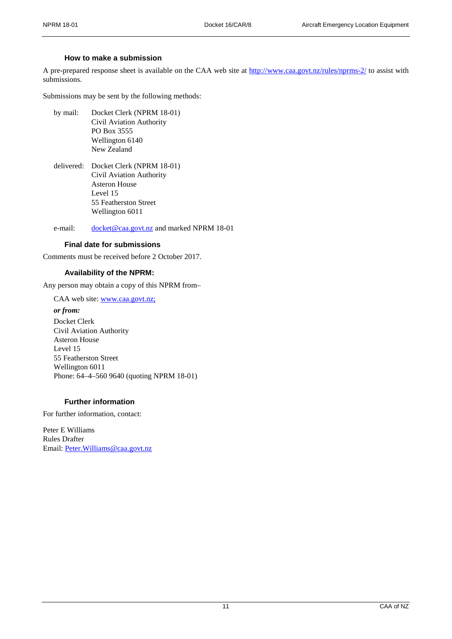## **How to make a submission**

A pre-prepared response sheet is available on the CAA web site at<http://www.caa.govt.nz/rules/nprms-2/> to assist with submissions.

Submissions may be sent by the following methods:

- by mail: Docket Clerk (NPRM 18-01) Civil Aviation Authority PO Box 3555 Wellington 6140 New Zealand
- delivered: Docket Clerk (NPRM 18-01) Civil Aviation Authority Asteron House Level 15 55 Featherston Street Wellington 6011

e-mail: [docket@caa.govt.nz](mailto:docket@caa.govt.nz) and marked NPRM 18-01

## **Final date for submissions**

Comments must be received before 2 October 2017.

## **Availability of the NPRM:**

Any person may obtain a copy of this NPRM from–

CAA web site: [www.caa.govt.nz;](http://www.caa.govt.nz;/)

### *or from:*

Docket Clerk Civil Aviation Authority Asteron House Level 15 55 Featherston Street Wellington 6011 Phone: 64–4–560 9640 (quoting NPRM 18-01)

## **Further information**

For further information, contact:

Peter E Williams Rules Drafter Email: [Peter.Williams@caa.govt.nz](mailto:Peter.Williams@caa.govt.nz)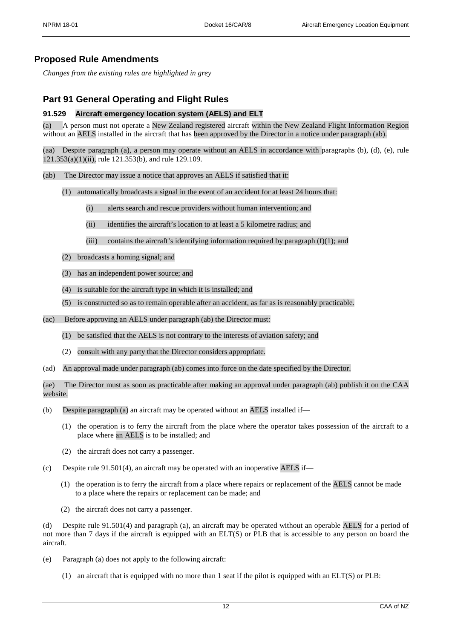## **Proposed Rule Amendments**

*Changes from the existing rules are highlighted in grey* 

## **Part 91 General Operating and Flight Rules**

## **91.529 Aircraft emergency location system (AELS) and ELT**

(a) A person must not operate a New Zealand registered aircraft within the New Zealand Flight Information Region without an AELS installed in the aircraft that has been approved by the Director in a notice under paragraph (ab).

Despite paragraph (a), a person may operate without an AELS in accordance with paragraphs (b), (d), (e), rule 121.353(a)(1)(ii), rule 121.353(b), and rule 129.109.

- (ab) The Director may issue a notice that approves an AELS if satisfied that it:
	- (1) automatically broadcasts a signal in the event of an accident for at least 24 hours that:
		- (i) alerts search and rescue providers without human intervention; and
		- (ii) identifies the aircraft's location to at least a 5 kilometre radius; and
		- (iii) contains the aircraft's identifying information required by paragraph  $(f)(1)$ ; and
	- (2) broadcasts a homing signal; and
	- (3) has an independent power source; and
	- (4) is suitable for the aircraft type in which it is installed; and
	- (5) is constructed so as to remain operable after an accident, as far as is reasonably practicable.
- (ac) Before approving an AELS under paragraph (ab) the Director must:
	- (1) be satisfied that the AELS is not contrary to the interests of aviation safety; and
	- (2) consult with any party that the Director considers appropriate.
- (ad) An approval made under paragraph (ab) comes into force on the date specified by the Director.

(ae) The Director must as soon as practicable after making an approval under paragraph (ab) publish it on the CAA website.

- (b) Despite paragraph (a) an aircraft may be operated without an AELS installed if—
	- (1) the operation is to ferry the aircraft from the place where the operator takes possession of the aircraft to a place where an AELS is to be installed; and
	- (2) the aircraft does not carry a passenger.
- (c) Despite rule 91.501(4), an aircraft may be operated with an inoperative AELS if—
	- (1) the operation is to ferry the aircraft from a place where repairs or replacement of the AELS cannot be made to a place where the repairs or replacement can be made; and
	- (2) the aircraft does not carry a passenger.

Despite rule 91.501(4) and paragraph (a), an aircraft may be operated without an operable AELS for a period of not more than 7 days if the aircraft is equipped with an ELT(S) or PLB that is accessible to any person on board the aircraft.

- (e) Paragraph (a) does not apply to the following aircraft:
	- (1) an aircraft that is equipped with no more than 1 seat if the pilot is equipped with an ELT(S) or PLB: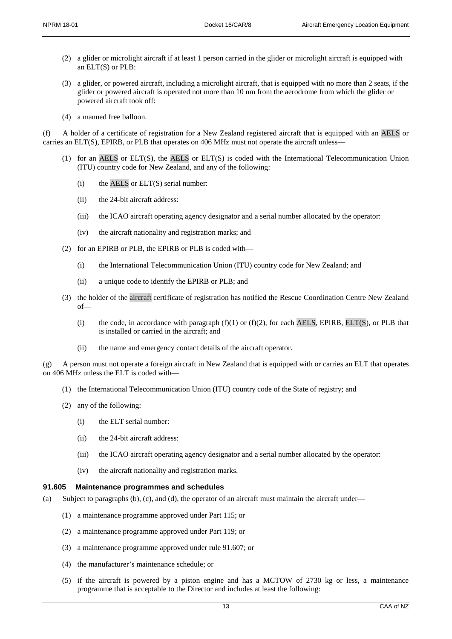- (2) a glider or microlight aircraft if at least 1 person carried in the glider or microlight aircraft is equipped with an ELT(S) or PLB:
- (3) a glider, or powered aircraft, including a microlight aircraft, that is equipped with no more than 2 seats, if the glider or powered aircraft is operated not more than 10 nm from the aerodrome from which the glider or powered aircraft took off:
- (4) a manned free balloon.

(f) A holder of a certificate of registration for a New Zealand registered aircraft that is equipped with an AELS or carries an ELT(S), EPIRB, or PLB that operates on 406 MHz must not operate the aircraft unless—

- (1) for an AELS or ELT(S), the AELS or ELT(S) is coded with the International Telecommunication Union (ITU) country code for New Zealand, and any of the following:
	- $(i)$  the AELS or ELT(S) serial number:
	- (ii) the 24-bit aircraft address:
	- (iii) the ICAO aircraft operating agency designator and a serial number allocated by the operator:
	- (iv) the aircraft nationality and registration marks; and
- (2) for an EPIRB or PLB, the EPIRB or PLB is coded with—
	- (i) the International Telecommunication Union (ITU) country code for New Zealand; and
	- (ii) a unique code to identify the EPIRB or PLB; and
- (3) the holder of the aircraft certificate of registration has notified the Rescue Coordination Centre New Zealand of—
	- (i) the code, in accordance with paragraph  $(f)(1)$  or  $(f)(2)$ , for each AELS, EPIRB, ELT(S), or PLB that is installed or carried in the aircraft; and
	- (ii) the name and emergency contact details of the aircraft operator.

(g) A person must not operate a foreign aircraft in New Zealand that is equipped with or carries an ELT that operates on 406 MHz unless the ELT is coded with—

- (1) the International Telecommunication Union (ITU) country code of the State of registry; and
- (2) any of the following:
	- (i) the ELT serial number:
	- (ii) the 24-bit aircraft address:
	- (iii) the ICAO aircraft operating agency designator and a serial number allocated by the operator:
	- (iv) the aircraft nationality and registration marks.

## **91.605 Maintenance programmes and schedules**

- (a) Subject to paragraphs (b), (c), and (d), the operator of an aircraft must maintain the aircraft under—
	- (1) a maintenance programme approved under Part 115; or
	- (2) a maintenance programme approved under Part 119; or
	- (3) a maintenance programme approved under rule 91.607; or
	- (4) the manufacturer's maintenance schedule; or
	- (5) if the aircraft is powered by a piston engine and has a MCTOW of 2730 kg or less, a maintenance programme that is acceptable to the Director and includes at least the following: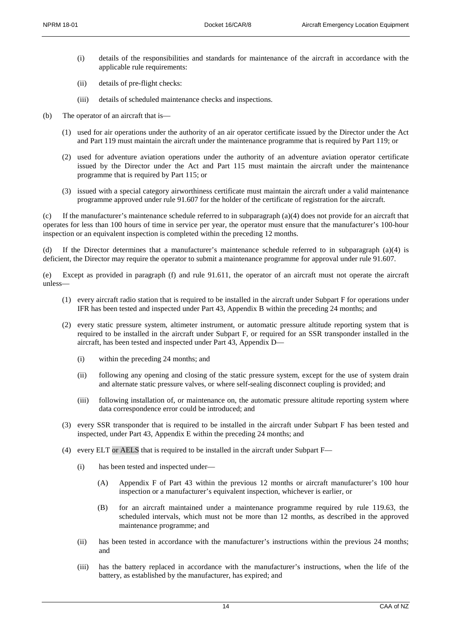- (i) details of the responsibilities and standards for maintenance of the aircraft in accordance with the applicable rule requirements:
- (ii) details of pre-flight checks:
- (iii) details of scheduled maintenance checks and inspections.
- (b) The operator of an aircraft that is—
	- (1) used for air operations under the authority of an air operator certificate issued by the Director under the Act and Part 119 must maintain the aircraft under the maintenance programme that is required by Part 119; or
	- (2) used for adventure aviation operations under the authority of an adventure aviation operator certificate issued by the Director under the Act and Part 115 must maintain the aircraft under the maintenance programme that is required by Part 115; or
	- (3) issued with a special category airworthiness certificate must maintain the aircraft under a valid maintenance programme approved under rule 91.607 for the holder of the certificate of registration for the aircraft.

(c) If the manufacturer's maintenance schedule referred to in subparagraph (a)(4) does not provide for an aircraft that operates for less than 100 hours of time in service per year, the operator must ensure that the manufacturer's 100-hour inspection or an equivalent inspection is completed within the preceding 12 months.

(d) If the Director determines that a manufacturer's maintenance schedule referred to in subparagraph (a)(4) is deficient, the Director may require the operator to submit a maintenance programme for approval under rule 91.607.

(e) Except as provided in paragraph (f) and rule 91.611, the operator of an aircraft must not operate the aircraft unless—

- (1) every aircraft radio station that is required to be installed in the aircraft under Subpart F for operations under IFR has been tested and inspected under Part 43, Appendix B within the preceding 24 months; and
- (2) every static pressure system, altimeter instrument, or automatic pressure altitude reporting system that is required to be installed in the aircraft under Subpart F, or required for an SSR transponder installed in the aircraft, has been tested and inspected under Part 43, Appendix D—
	- (i) within the preceding 24 months; and
	- (ii) following any opening and closing of the static pressure system, except for the use of system drain and alternate static pressure valves, or where self-sealing disconnect coupling is provided; and
	- (iii) following installation of, or maintenance on, the automatic pressure altitude reporting system where data correspondence error could be introduced; and
- (3) every SSR transponder that is required to be installed in the aircraft under Subpart F has been tested and inspected, under Part 43, Appendix E within the preceding 24 months; and
- (4) every ELT or AELS that is required to be installed in the aircraft under Subpart F—
	- (i) has been tested and inspected under—
		- (A) Appendix F of Part 43 within the previous 12 months or aircraft manufacturer's 100 hour inspection or a manufacturer's equivalent inspection, whichever is earlier, or
		- (B) for an aircraft maintained under a maintenance programme required by rule 119.63, the scheduled intervals, which must not be more than 12 months, as described in the approved maintenance programme; and
	- (ii) has been tested in accordance with the manufacturer's instructions within the previous 24 months; and
	- (iii) has the battery replaced in accordance with the manufacturer's instructions, when the life of the battery, as established by the manufacturer, has expired; and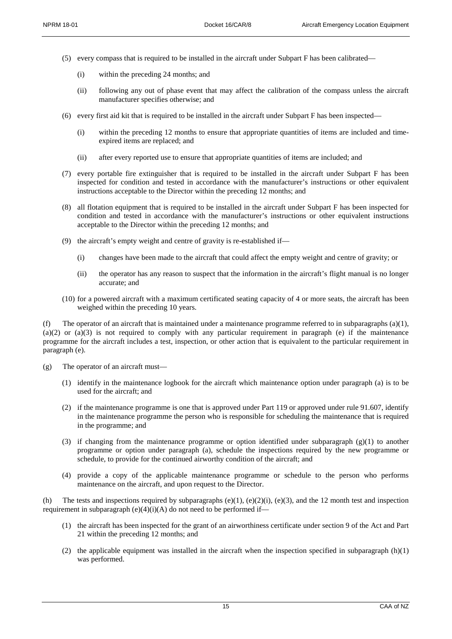- (5) every compass that is required to be installed in the aircraft under Subpart F has been calibrated—
	- (i) within the preceding 24 months; and
	- (ii) following any out of phase event that may affect the calibration of the compass unless the aircraft manufacturer specifies otherwise; and
- (6) every first aid kit that is required to be installed in the aircraft under Subpart F has been inspected—
	- (i) within the preceding 12 months to ensure that appropriate quantities of items are included and timeexpired items are replaced; and
	- (ii) after every reported use to ensure that appropriate quantities of items are included; and
- (7) every portable fire extinguisher that is required to be installed in the aircraft under Subpart F has been inspected for condition and tested in accordance with the manufacturer's instructions or other equivalent instructions acceptable to the Director within the preceding 12 months; and
- (8) all flotation equipment that is required to be installed in the aircraft under Subpart F has been inspected for condition and tested in accordance with the manufacturer's instructions or other equivalent instructions acceptable to the Director within the preceding 12 months; and
- (9) the aircraft's empty weight and centre of gravity is re-established if—
	- (i) changes have been made to the aircraft that could affect the empty weight and centre of gravity; or
	- (ii) the operator has any reason to suspect that the information in the aircraft's flight manual is no longer accurate; and
- (10) for a powered aircraft with a maximum certificated seating capacity of 4 or more seats, the aircraft has been weighed within the preceding 10 years.

(f) The operator of an aircraft that is maintained under a maintenance programme referred to in subparagraphs (a)(1),  $(a)(2)$  or  $(a)(3)$  is not required to comply with any particular requirement in paragraph (e) if the maintenance programme for the aircraft includes a test, inspection, or other action that is equivalent to the particular requirement in paragraph (e).

- (g) The operator of an aircraft must—
	- (1) identify in the maintenance logbook for the aircraft which maintenance option under paragraph (a) is to be used for the aircraft; and
	- (2) if the maintenance programme is one that is approved under Part 119 or approved under rule 91.607, identify in the maintenance programme the person who is responsible for scheduling the maintenance that is required in the programme; and
	- (3) if changing from the maintenance programme or option identified under subparagraph (g)(1) to another programme or option under paragraph (a), schedule the inspections required by the new programme or schedule, to provide for the continued airworthy condition of the aircraft; and
	- (4) provide a copy of the applicable maintenance programme or schedule to the person who performs maintenance on the aircraft, and upon request to the Director.

The tests and inspections required by subparagraphs  $(e)(1)$ ,  $(e)(2)(i)$ ,  $(e)(3)$ , and the 12 month test and inspection requirement in subparagraph  $(e)(4)(i)(A)$  do not need to be performed if—

- (1) the aircraft has been inspected for the grant of an airworthiness certificate under section 9 of the Act and Part 21 within the preceding 12 months; and
- (2) the applicable equipment was installed in the aircraft when the inspection specified in subparagraph  $(h)(1)$ was performed.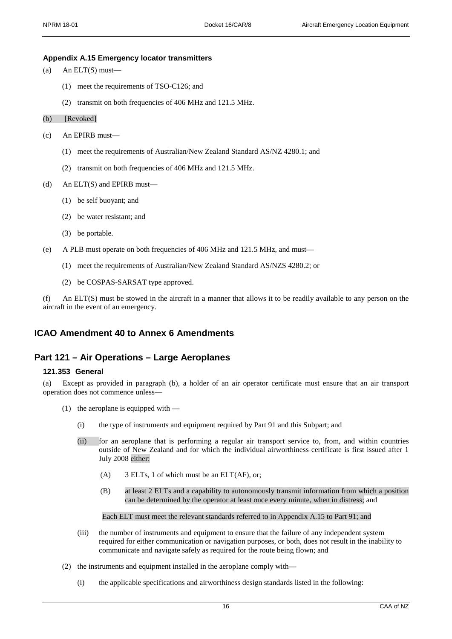#### **Appendix A.15 Emergency locator transmitters**

```
(a) An ELT(S) must—
```
- (1) meet the requirements of TSO-C126; and
- (2) transmit on both frequencies of 406 MHz and 121.5 MHz.
- (b) [Revoked]
- (c) An EPIRB must—
	- (1) meet the requirements of Australian/New Zealand Standard AS/NZ 4280.1; and
	- (2) transmit on both frequencies of 406 MHz and 121.5 MHz.
- (d) An ELT(S) and EPIRB must—
	- (1) be self buoyant; and
	- (2) be water resistant; and
	- (3) be portable.
- (e) A PLB must operate on both frequencies of 406 MHz and 121.5 MHz, and must—
	- (1) meet the requirements of Australian/New Zealand Standard AS/NZS 4280.2; or
	- (2) be COSPAS-SARSAT type approved.

(f) An ELT(S) must be stowed in the aircraft in a manner that allows it to be readily available to any person on the aircraft in the event of an emergency.

## **ICAO Amendment 40 to Annex 6 Amendments**

## **Part 121 – Air Operations – Large Aeroplanes**

### **121.353 General**

(a) Except as provided in paragraph (b), a holder of an air operator certificate must ensure that an air transport operation does not commence unless—

- (1) the aeroplane is equipped with
	- (i) the type of instruments and equipment required by Part 91 and this Subpart; and
	- (ii) for an aeroplane that is performing a regular air transport service to, from, and within countries outside of New Zealand and for which the individual airworthiness certificate is first issued after 1 July 2008 either:
		- (A) 3 ELTs, 1 of which must be an ELT(AF), or;
		- (B) at least 2 ELTs and a capability to autonomously transmit information from which a position can be determined by the operator at least once every minute, when in distress; and

#### Each ELT must meet the relevant standards referred to in Appendix A.15 to Part 91; and

- (iii) the number of instruments and equipment to ensure that the failure of any independent system required for either communication or navigation purposes, or both, does not result in the inability to communicate and navigate safely as required for the route being flown; and
- (2) the instruments and equipment installed in the aeroplane comply with—
	- (i) the applicable specifications and airworthiness design standards listed in the following: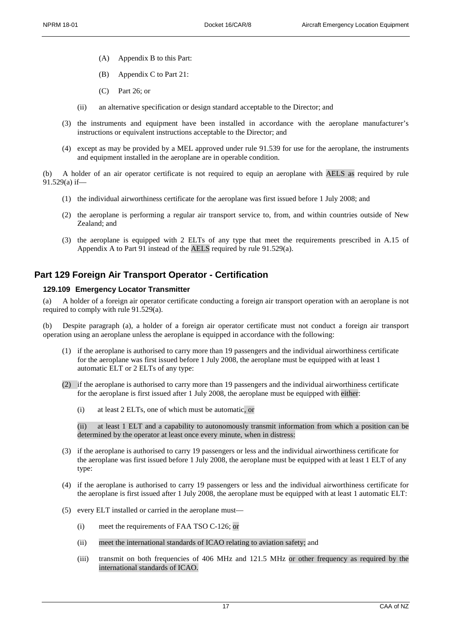- (A) Appendix B to this Part:
- (B) Appendix C to Part 21:
- (C) Part 26; or
- (ii) an alternative specification or design standard acceptable to the Director; and
- (3) the instruments and equipment have been installed in accordance with the aeroplane manufacturer's instructions or equivalent instructions acceptable to the Director; and
- (4) except as may be provided by a MEL approved under rule 91.539 for use for the aeroplane, the instruments and equipment installed in the aeroplane are in operable condition.

(b) A holder of an air operator certificate is not required to equip an aeroplane with AELS as required by rule 91.529(a) if—

- (1) the individual airworthiness certificate for the aeroplane was first issued before 1 July 2008; and
- (2) the aeroplane is performing a regular air transport service to, from, and within countries outside of New Zealand; and
- (3) the aeroplane is equipped with 2 ELTs of any type that meet the requirements prescribed in A.15 of Appendix A to Part 91 instead of the AELS required by rule 91.529(a).

## **Part 129 Foreign Air Transport Operator - Certification**

#### **129.109 Emergency Locator Transmitter**

(a) A holder of a foreign air operator certificate conducting a foreign air transport operation with an aeroplane is not required to comply with rule 91.529(a).

(b) Despite paragraph (a), a holder of a foreign air operator certificate must not conduct a foreign air transport operation using an aeroplane unless the aeroplane is equipped in accordance with the following:

- (1) if the aeroplane is authorised to carry more than 19 passengers and the individual airworthiness certificate for the aeroplane was first issued before 1 July 2008, the aeroplane must be equipped with at least 1 automatic ELT or 2 ELTs of any type:
- (2) if the aeroplane is authorised to carry more than 19 passengers and the individual airworthiness certificate for the aeroplane is first issued after 1 July 2008, the aeroplane must be equipped with either:
	- (i) at least 2 ELTs, one of which must be automatic, or

(ii) at least 1 ELT and a capability to autonomously transmit information from which a position can be determined by the operator at least once every minute, when in distress:

- (3) if the aeroplane is authorised to carry 19 passengers or less and the individual airworthiness certificate for the aeroplane was first issued before 1 July 2008, the aeroplane must be equipped with at least 1 ELT of any type:
- (4) if the aeroplane is authorised to carry 19 passengers or less and the individual airworthiness certificate for the aeroplane is first issued after 1 July 2008, the aeroplane must be equipped with at least 1 automatic ELT:
- (5) every ELT installed or carried in the aeroplane must—
	- (i) meet the requirements of FAA TSO C-126; or
	- (ii) meet the international standards of ICAO relating to aviation safety; and
	- (iii) transmit on both frequencies of 406 MHz and 121.5 MHz or other frequency as required by the international standards of ICAO.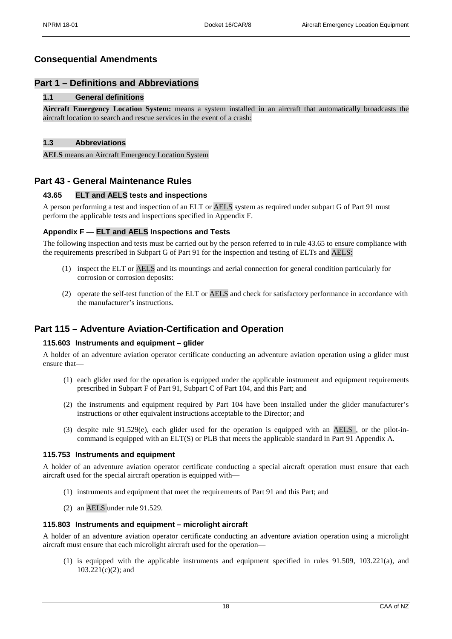## **Consequential Amendments**

## **Part 1 – Definitions and Abbreviations**

## **1.1 General definitions**

**Aircraft Emergency Location System:** means a system installed in an aircraft that automatically broadcasts the aircraft location to search and rescue services in the event of a crash:

## **1.3 Abbreviations**

**AELS** means an Aircraft Emergency Location System

## **Part 43 - General Maintenance Rules**

## **43.65 ELT and AELS tests and inspections**

A person performing a test and inspection of an ELT or AELS system as required under subpart G of Part 91 must perform the applicable tests and inspections specified in Appendix F.

### **Appendix F — ELT and AELS Inspections and Tests**

The following inspection and tests must be carried out by the person referred to in rule 43.65 to ensure compliance with the requirements prescribed in Subpart G of Part 91 for the inspection and testing of ELTs and AELS:

- (1) inspect the ELT or AELS and its mountings and aerial connection for general condition particularly for corrosion or corrosion deposits:
- (2) operate the self-test function of the ELT or AELS and check for satisfactory performance in accordance with the manufacturer's instructions.

## **Part 115 – Adventure Aviation-Certification and Operation**

#### **115.603 Instruments and equipment – glider**

A holder of an adventure aviation operator certificate conducting an adventure aviation operation using a glider must ensure that—

- (1) each glider used for the operation is equipped under the applicable instrument and equipment requirements prescribed in Subpart F of Part 91, Subpart C of Part 104, and this Part; and
- (2) the instruments and equipment required by Part 104 have been installed under the glider manufacturer's instructions or other equivalent instructions acceptable to the Director; and
- (3) despite rule 91.529(e), each glider used for the operation is equipped with an AELS , or the pilot-incommand is equipped with an ELT(S) or PLB that meets the applicable standard in Part 91 Appendix A.

#### **115.753 Instruments and equipment**

A holder of an adventure aviation operator certificate conducting a special aircraft operation must ensure that each aircraft used for the special aircraft operation is equipped with—

- (1) instruments and equipment that meet the requirements of Part 91 and this Part; and
- (2) an AELS under rule 91.529.

## **115.803 Instruments and equipment – microlight aircraft**

A holder of an adventure aviation operator certificate conducting an adventure aviation operation using a microlight aircraft must ensure that each microlight aircraft used for the operation—

(1) is equipped with the applicable instruments and equipment specified in rules 91.509, 103.221(a), and  $103.221(c)(2)$ ; and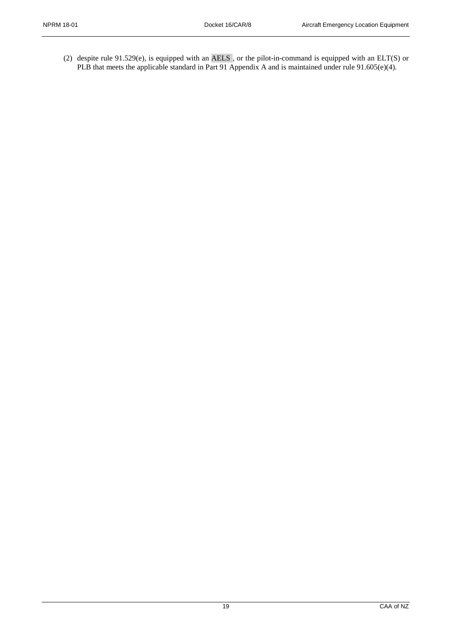(2) despite rule  $91.529(e)$ , is equipped with an AELS, or the pilot-in-command is equipped with an ELT(S) or PLB that meets the applicable standard in Part 91 Appendix A and is maintained under rule 91.605(e)(4).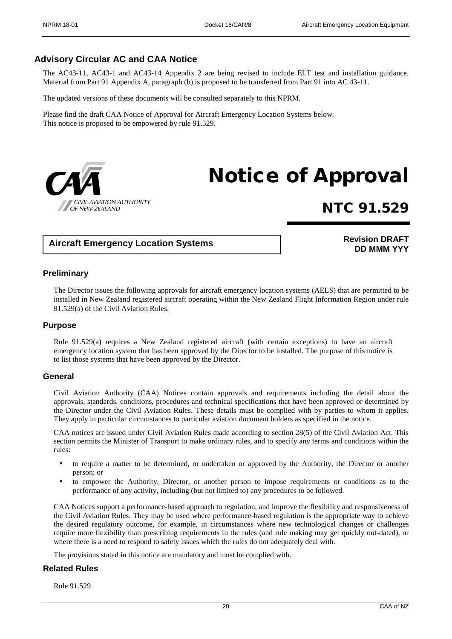## **Advisory Circular AC and CAA Notice**

The AC43-11, AC43-1 and AC43-14 Appendix 2 are being revised to include ELT test and installation guidance. Material from Part 91 Appendix A, paragraph (b) is proposed to be transferred from Part 91 into AC 43-11.

The updated versions of these documents will be consulted separately to this NPRM.

Please find the draft CAA Notice of Approval for Aircraft Emergency Location Systems below. This notice is proposed to be empowered by rule 91.529.



# Notice of Approval

# NTC 91.529

## **Aircraft Emergency Location Systems**

## **Revision DRAFT DD MMM YYY**

## **Preliminary**

The Director issues the following approvals for aircraft emergency location systems (AELS) that are permitted to be installed in New Zealand registered aircraft operating within the New Zealand Flight Information Region under rule 91.529(a) of the Civil Aviation Rules.

## **Purpose**

Rule 91.529(a) requires a New Zealand registered aircraft (with certain exceptions) to have an aircraft emergency location system that has been approved by the Director to be installed. The purpose of this notice is to list those systems that have been approved by the Director.

## **General**

Civil Aviation Authority (CAA) Notices contain approvals and requirements including the detail about the approvals, standards, conditions, procedures and technical specifications that have been approved or determined by the Director under the Civil Aviation Rules. These details must be complied with by parties to whom it applies. They apply in particular circumstances to particular aviation document holders as specified in the notice.

CAA notices are issued under Civil Aviation Rules made according to section 28(5) of the Civil Aviation Act. This section permits the Minister of Transport to make ordinary rules, and to specify any terms and conditions within the rules:

- to require a matter to be determined, or undertaken or approved by the Authority, the Director or another person; or
- to empower the Authority, Director, or another person to impose requirements or conditions as to the performance of any activity, including (but not limited to) any procedures to be followed.

CAA Notices support a performance-based approach to regulation, and improve the flexibility and responsiveness of the Civil Aviation Rules. They may be used where performance-based regulation is the appropriate way to achieve the desired regulatory outcome, for example, in circumstances where new technological changes or challenges require more flexibility than prescribing requirements in the rules (and rule making may get quickly out-dated), or where there is a need to respond to safety issues which the rules do not adequately deal with.

The provisions stated in this notice are mandatory and must be complied with.

## **Related Rules**

Rule 91.529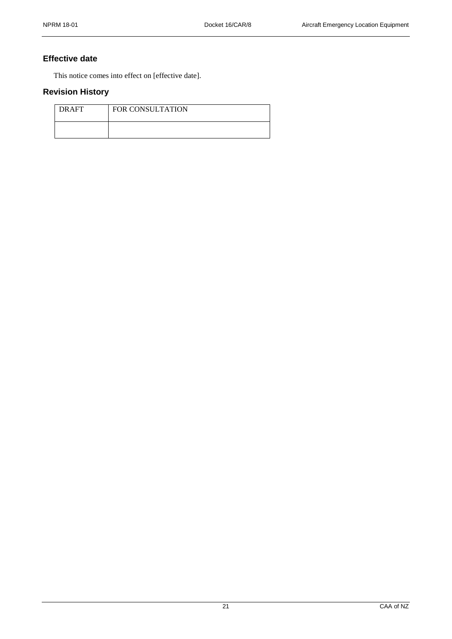## **Effective date**

This notice comes into effect on [effective date].

## **Revision History**

| <b>DRAFT</b> | <b>FOR CONSULTATION</b> |
|--------------|-------------------------|
|              |                         |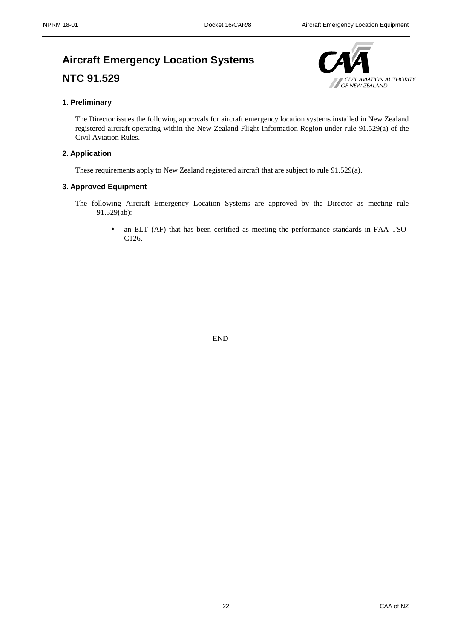## **Aircraft Emergency Location Systems NTC 91.529**



## **1. Preliminary**

The Director issues the following approvals for aircraft emergency location systems installed in New Zealand registered aircraft operating within the New Zealand Flight Information Region under rule 91.529(a) of the Civil Aviation Rules.

## **2. Application**

These requirements apply to New Zealand registered aircraft that are subject to rule 91.529(a).

## **3. Approved Equipment**

- The following Aircraft Emergency Location Systems are approved by the Director as meeting rule 91.529(ab):
	- an ELT (AF) that has been certified as meeting the performance standards in FAA TSO-C126.

END